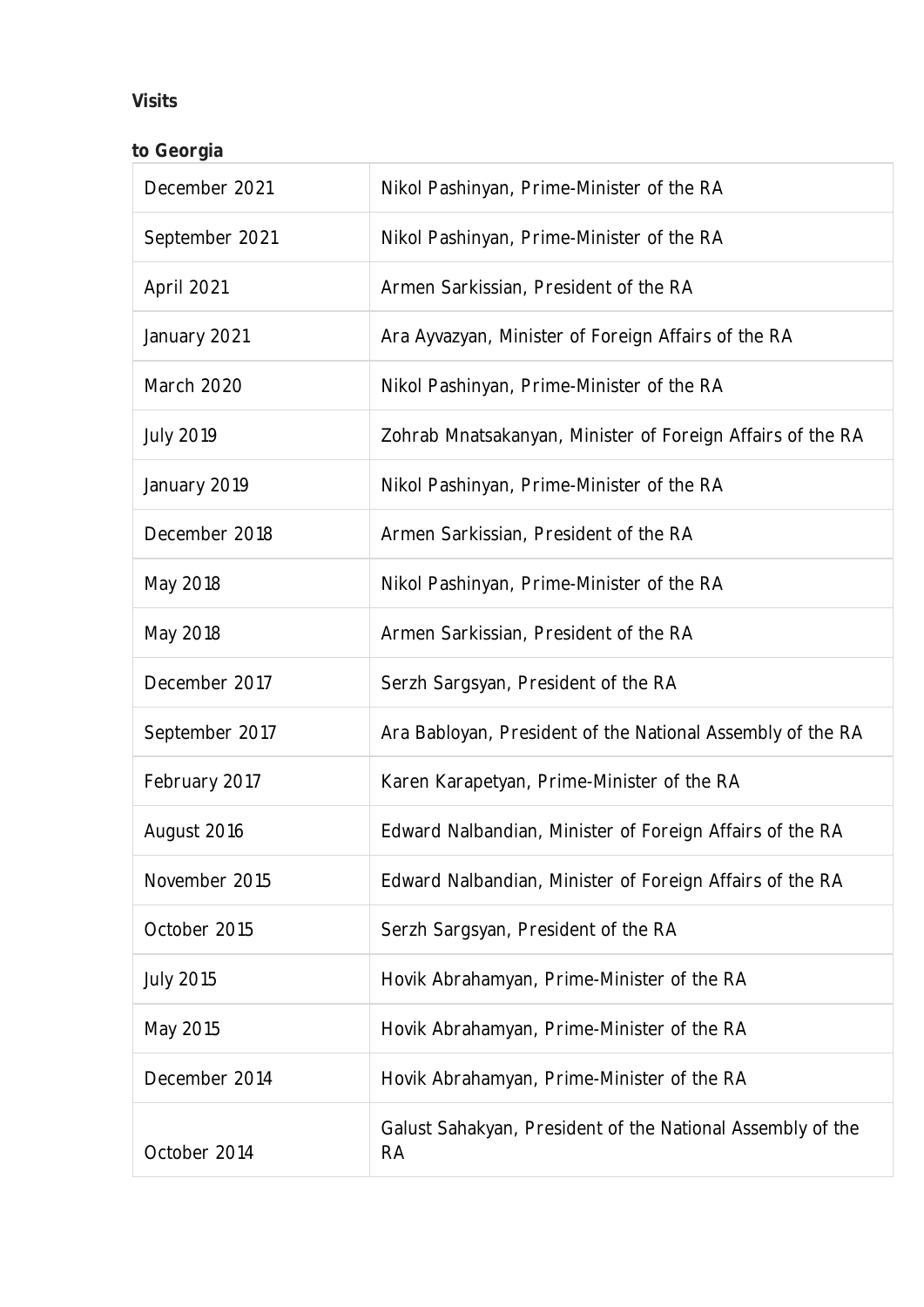## **Visits**

| to Georgia       |                                                                         |
|------------------|-------------------------------------------------------------------------|
| December 2021    | Nikol Pashinyan, Prime-Minister of the RA                               |
| September 2021   | Nikol Pashinyan, Prime-Minister of the RA                               |
| April 2021       | Armen Sarkissian, President of the RA                                   |
| January 2021     | Ara Ayvazyan, Minister of Foreign Affairs of the RA                     |
| March 2020       | Nikol Pashinyan, Prime-Minister of the RA                               |
| <b>July 2019</b> | Zohrab Mnatsakanyan, Minister of Foreign Affairs of the RA              |
| January 2019     | Nikol Pashinyan, Prime-Minister of the RA                               |
| December 2018    | Armen Sarkissian, President of the RA                                   |
| May 2018         | Nikol Pashinyan, Prime-Minister of the RA                               |
| May 2018         | Armen Sarkissian, President of the RA                                   |
| December 2017    | Serzh Sargsyan, President of the RA                                     |
| September 2017   | Ara Babloyan, President of the National Assembly of the RA              |
| February 2017    | Karen Karapetyan, Prime-Minister of the RA                              |
| August 2016      | Edward Nalbandian, Minister of Foreign Affairs of the RA                |
| November 2015    | Edward Nalbandian, Minister of Foreign Affairs of the RA                |
| October 2015     | Serzh Sargsyan, President of the RA                                     |
| <b>July 2015</b> | Hovik Abrahamyan, Prime-Minister of the RA                              |
| May 2015         | Hovik Abrahamyan, Prime-Minister of the RA                              |
| December 2014    | Hovik Abrahamyan, Prime-Minister of the RA                              |
| October 2014     | Galust Sahakyan, President of the National Assembly of the<br><b>RA</b> |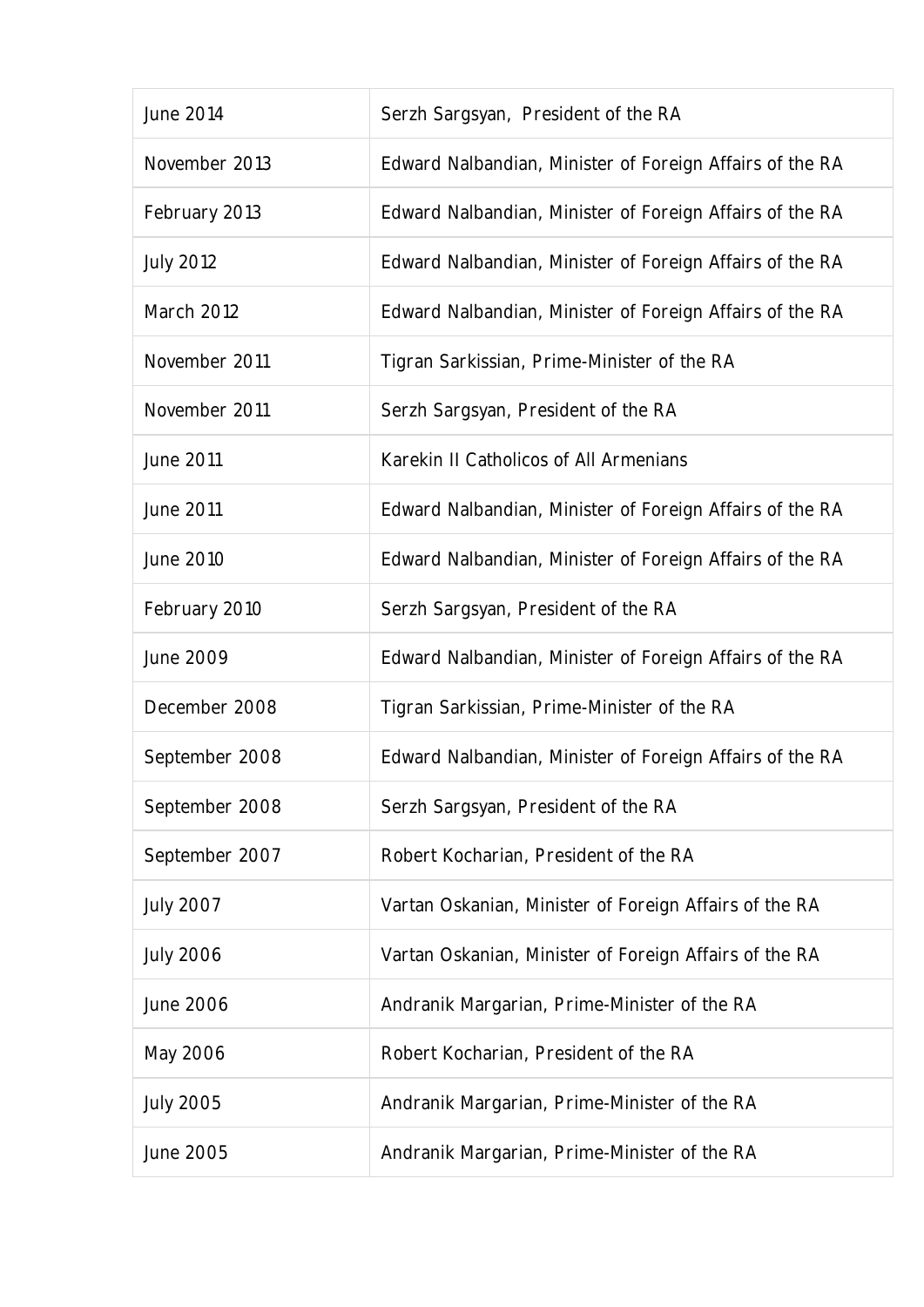| June 2014         | Serzh Sargsyan, President of the RA                      |
|-------------------|----------------------------------------------------------|
| November 2013     | Edward Nalbandian, Minister of Foreign Affairs of the RA |
| February 2013     | Edward Nalbandian, Minister of Foreign Affairs of the RA |
| <b>July 2012</b>  | Edward Nalbandian, Minister of Foreign Affairs of the RA |
| <b>March 2012</b> | Edward Nalbandian, Minister of Foreign Affairs of the RA |
| November 2011     | Tigran Sarkissian, Prime-Minister of the RA              |
| November 2011     | Serzh Sargsyan, President of the RA                      |
| June 2011         | Karekin II Catholicos of All Armenians                   |
| <b>June 2011</b>  | Edward Nalbandian, Minister of Foreign Affairs of the RA |
| June 2010         | Edward Nalbandian, Minister of Foreign Affairs of the RA |
| February 2010     | Serzh Sargsyan, President of the RA                      |
| June 2009         | Edward Nalbandian, Minister of Foreign Affairs of the RA |
| December 2008     | Tigran Sarkissian, Prime-Minister of the RA              |
| September 2008    | Edward Nalbandian, Minister of Foreign Affairs of the RA |
| September 2008    | Serzh Sargsyan, President of the RA                      |
| September 2007    | Robert Kocharian, President of the RA                    |
| <b>July 2007</b>  | Vartan Oskanian, Minister of Foreign Affairs of the RA   |
| <b>July 2006</b>  | Vartan Oskanian, Minister of Foreign Affairs of the RA   |
| June 2006         | Andranik Margarian, Prime-Minister of the RA             |
| May 2006          | Robert Kocharian, President of the RA                    |
| <b>July 2005</b>  | Andranik Margarian, Prime-Minister of the RA             |
| June 2005         | Andranik Margarian, Prime-Minister of the RA             |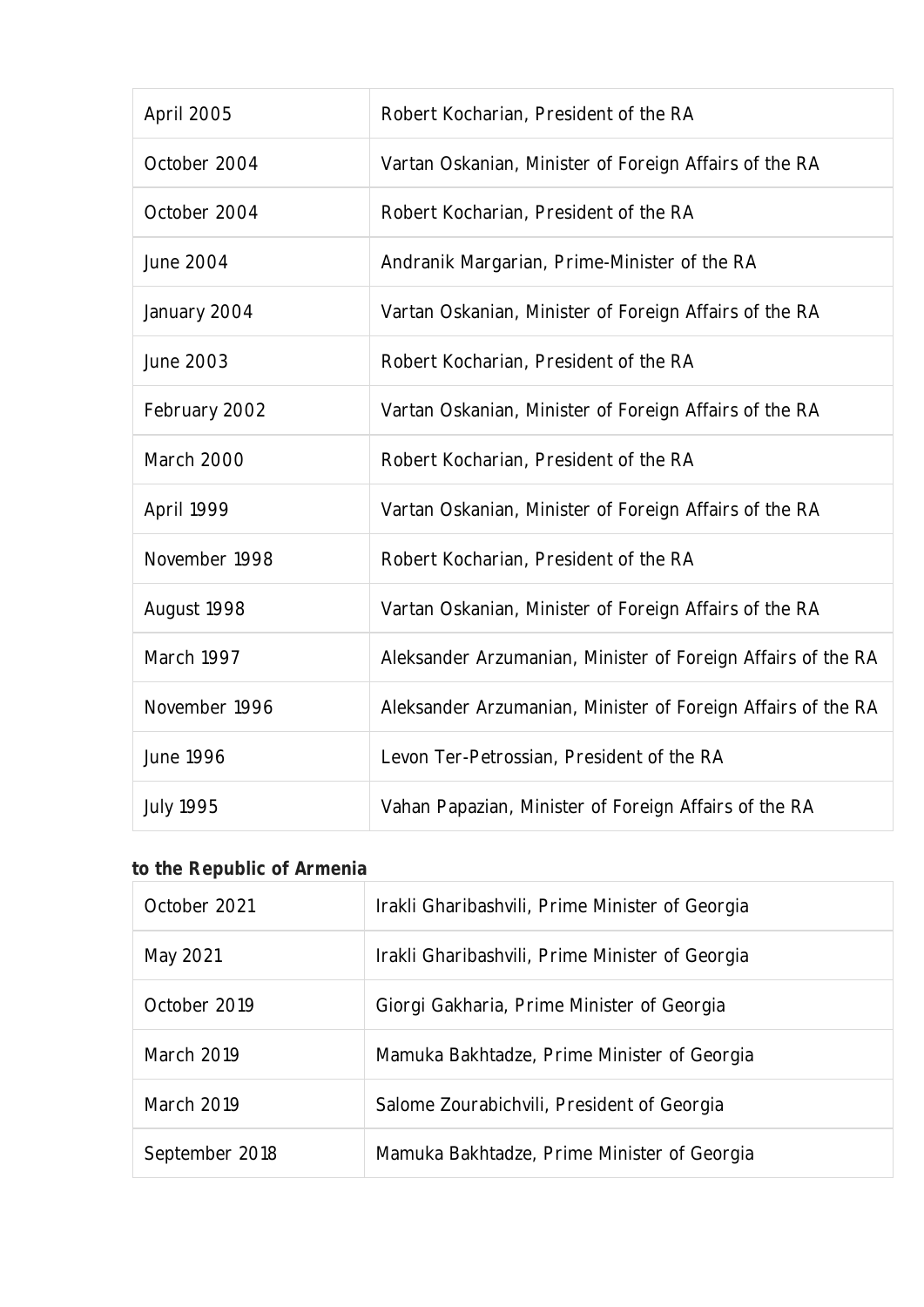| April 2005        | Robert Kocharian, President of the RA                        |
|-------------------|--------------------------------------------------------------|
| October 2004      | Vartan Oskanian, Minister of Foreign Affairs of the RA       |
| October 2004      | Robert Kocharian, President of the RA                        |
| <b>June 2004</b>  | Andranik Margarian, Prime-Minister of the RA                 |
| January 2004      | Vartan Oskanian, Minister of Foreign Affairs of the RA       |
| June 2003         | Robert Kocharian, President of the RA                        |
| February 2002     | Vartan Oskanian, Minister of Foreign Affairs of the RA       |
| <b>March 2000</b> | Robert Kocharian, President of the RA                        |
| April 1999        | Vartan Oskanian, Minister of Foreign Affairs of the RA       |
| November 1998     | Robert Kocharian, President of the RA                        |
| August 1998       | Vartan Oskanian, Minister of Foreign Affairs of the RA       |
| March 1997        | Aleksander Arzumanian, Minister of Foreign Affairs of the RA |
| November 1996     | Aleksander Arzumanian, Minister of Foreign Affairs of the RA |
| <b>June 1996</b>  | Levon Ter-Petrossian, President of the RA                    |
| <b>July 1995</b>  | Vahan Papazian, Minister of Foreign Affairs of the RA        |

## **to the Republic of Armenia**

| October 2021      | Irakli Gharibashvili, Prime Minister of Georgia |
|-------------------|-------------------------------------------------|
| May 2021          | Irakli Gharibashvili, Prime Minister of Georgia |
| October 2019      | Giorgi Gakharia, Prime Minister of Georgia      |
| March 2019        | Mamuka Bakhtadze, Prime Minister of Georgia     |
| <b>March 2019</b> | Salome Zourabichvili, President of Georgia      |
| September 2018    | Mamuka Bakhtadze, Prime Minister of Georgia     |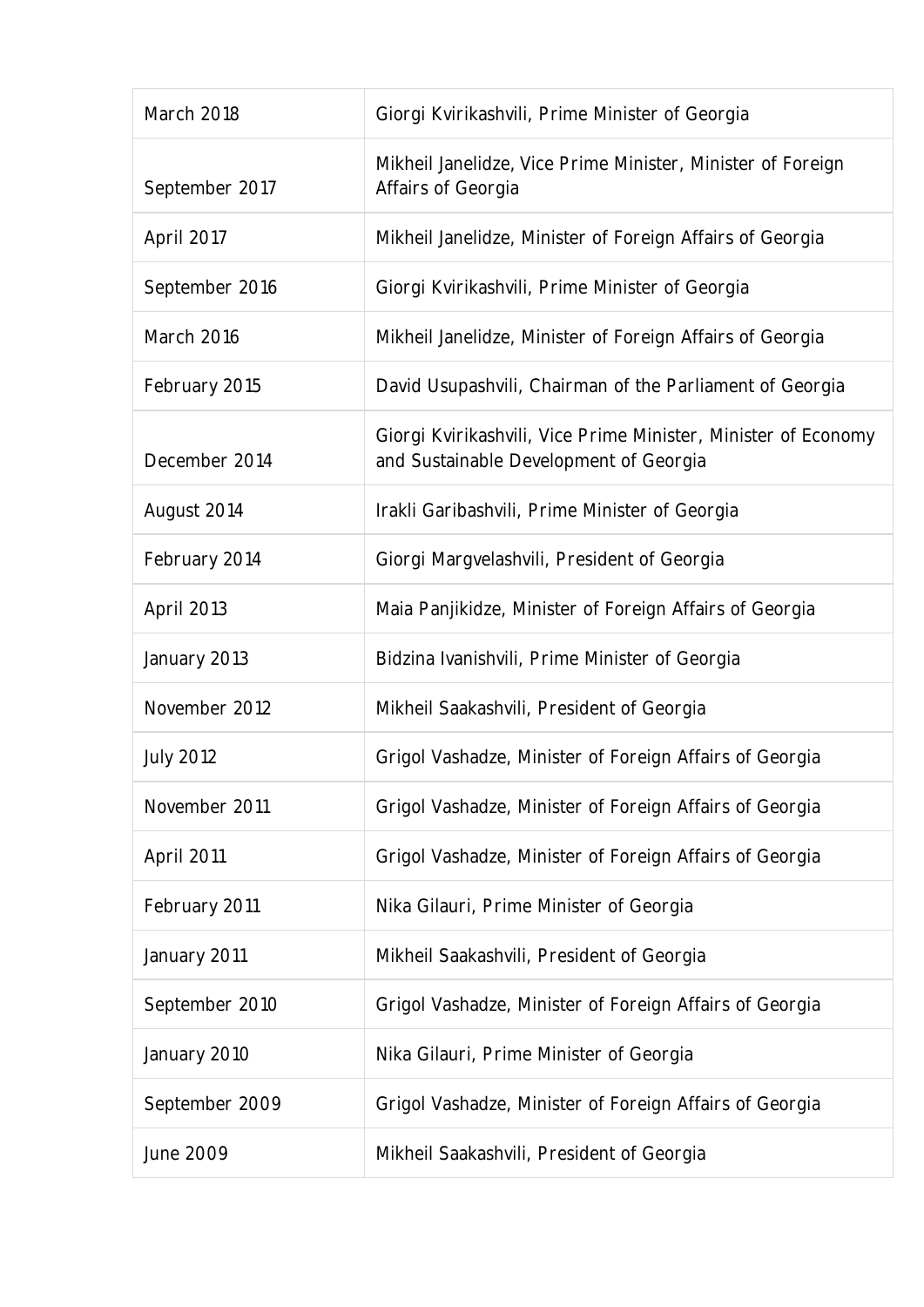| March 2018       | Giorgi Kvirikashvili, Prime Minister of Georgia                                                          |
|------------------|----------------------------------------------------------------------------------------------------------|
| September 2017   | Mikheil Janelidze, Vice Prime Minister, Minister of Foreign<br>Affairs of Georgia                        |
| April 2017       | Mikheil Janelidze, Minister of Foreign Affairs of Georgia                                                |
| September 2016   | Giorgi Kvirikashvili, Prime Minister of Georgia                                                          |
| March 2016       | Mikheil Janelidze, Minister of Foreign Affairs of Georgia                                                |
| February 2015    | David Usupashvili, Chairman of the Parliament of Georgia                                                 |
| December 2014    | Giorgi Kvirikashvili, Vice Prime Minister, Minister of Economy<br>and Sustainable Development of Georgia |
| August 2014      | Irakli Garibashvili, Prime Minister of Georgia                                                           |
| February 2014    | Giorgi Margvelashvili, President of Georgia                                                              |
| April 2013       | Maia Panjikidze, Minister of Foreign Affairs of Georgia                                                  |
| January 2013     | Bidzina Ivanishvili, Prime Minister of Georgia                                                           |
| November 2012    | Mikheil Saakashvili, President of Georgia                                                                |
| <b>July 2012</b> | Grigol Vashadze, Minister of Foreign Affairs of Georgia                                                  |
| November 2011    | Grigol Vashadze, Minister of Foreign Affairs of Georgia                                                  |
| April 2011       | Grigol Vashadze, Minister of Foreign Affairs of Georgia                                                  |
| February 2011    | Nika Gilauri, Prime Minister of Georgia                                                                  |
| January 2011     | Mikheil Saakashvili, President of Georgia                                                                |
| September 2010   | Grigol Vashadze, Minister of Foreign Affairs of Georgia                                                  |
| January 2010     | Nika Gilauri, Prime Minister of Georgia                                                                  |
| September 2009   | Grigol Vashadze, Minister of Foreign Affairs of Georgia                                                  |
| June 2009        | Mikheil Saakashvili, President of Georgia                                                                |
|                  |                                                                                                          |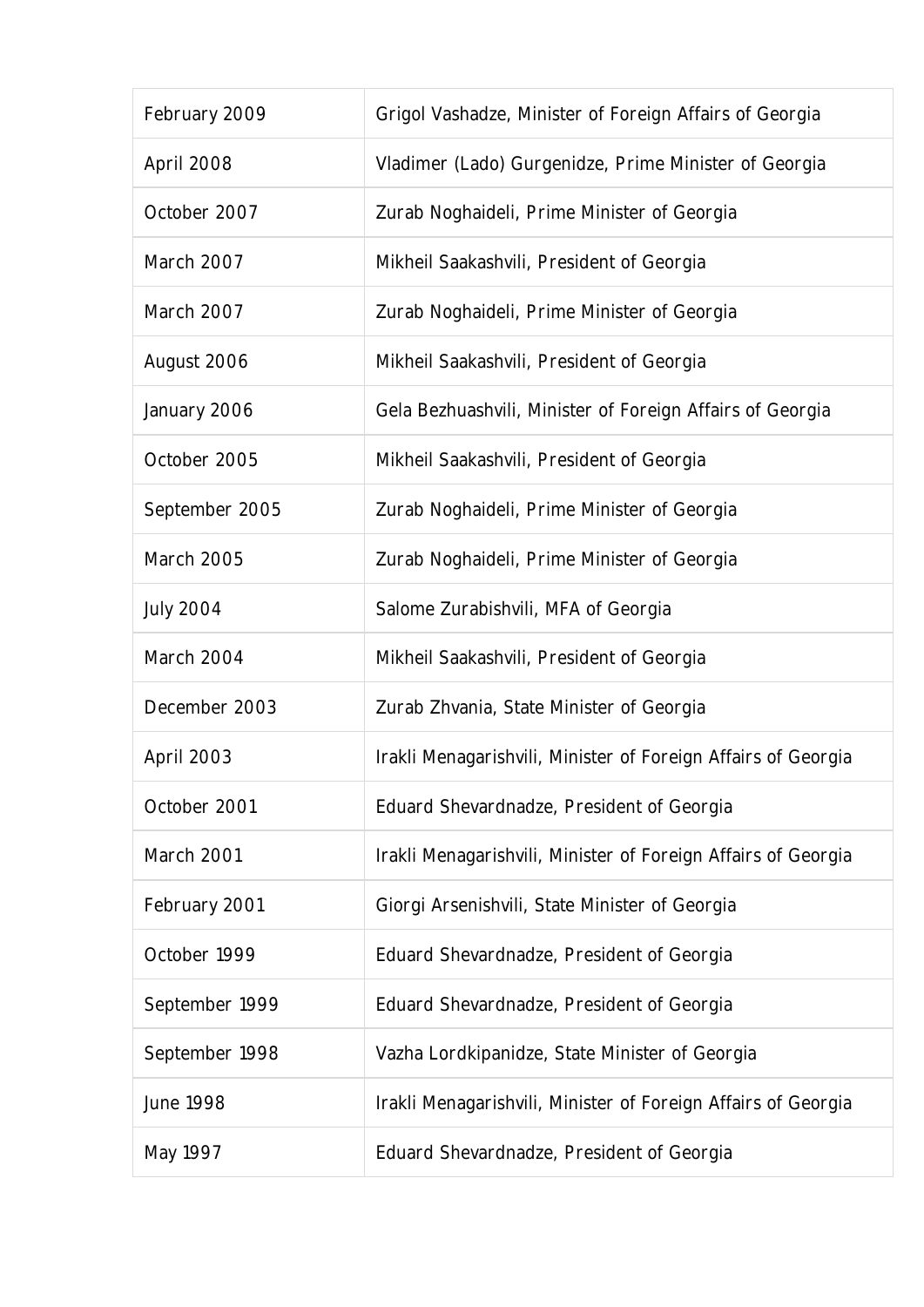| February 2009    | Grigol Vashadze, Minister of Foreign Affairs of Georgia       |
|------------------|---------------------------------------------------------------|
| April 2008       | Vladimer (Lado) Gurgenidze, Prime Minister of Georgia         |
| October 2007     | Zurab Noghaideli, Prime Minister of Georgia                   |
| March 2007       | Mikheil Saakashvili, President of Georgia                     |
| March 2007       | Zurab Noghaideli, Prime Minister of Georgia                   |
| August 2006      | Mikheil Saakashvili, President of Georgia                     |
| January 2006     | Gela Bezhuashvili, Minister of Foreign Affairs of Georgia     |
| October 2005     | Mikheil Saakashvili, President of Georgia                     |
| September 2005   | Zurab Noghaideli, Prime Minister of Georgia                   |
| March 2005       | Zurab Noghaideli, Prime Minister of Georgia                   |
| <b>July 2004</b> | Salome Zurabishvili, MFA of Georgia                           |
| March 2004       | Mikheil Saakashvili, President of Georgia                     |
| December 2003    | Zurab Zhvania, State Minister of Georgia                      |
| April 2003       | Irakli Menagarishvili, Minister of Foreign Affairs of Georgia |
| October 2001     | Eduard Shevardnadze, President of Georgia                     |
| March 2001       | Irakli Menagarishvili, Minister of Foreign Affairs of Georgia |
| February 2001    | Giorgi Arsenishvili, State Minister of Georgia                |
| October 1999     | Eduard Shevardnadze, President of Georgia                     |
| September 1999   | Eduard Shevardnadze, President of Georgia                     |
| September 1998   | Vazha Lordkipanidze, State Minister of Georgia                |
| <b>June 1998</b> | Irakli Menagarishvili, Minister of Foreign Affairs of Georgia |
| May 1997         | Eduard Shevardnadze, President of Georgia                     |